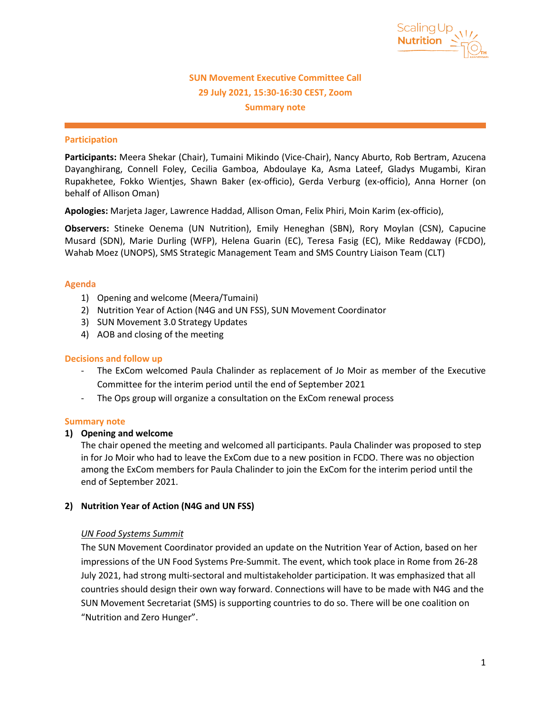

# **SUN Movement Executive Committee Call 29 July 2021, 15:30-16:30 CEST, Zoom Summary note**

## **Participation**

**Participants:** Meera Shekar (Chair), Tumaini Mikindo (Vice-Chair), Nancy Aburto, Rob Bertram, Azucena Dayanghirang, Connell Foley, Cecilia Gamboa, Abdoulaye Ka, Asma Lateef, Gladys Mugambi, Kiran Rupakhetee, Fokko Wientjes, Shawn Baker (ex-officio), Gerda Verburg (ex-officio), Anna Horner (on behalf of Allison Oman)

**Apologies:** Marjeta Jager, Lawrence Haddad, Allison Oman, Felix Phiri, Moin Karim (ex-officio),

**Observers:** Stineke Oenema (UN Nutrition), Emily Heneghan (SBN), Rory Moylan (CSN), Capucine Musard (SDN), Marie Durling (WFP), Helena Guarin (EC), Teresa Fasig (EC), Mike Reddaway (FCDO), Wahab Moez (UNOPS), SMS Strategic Management Team and SMS Country Liaison Team (CLT)

## **Agenda**

- 1) Opening and welcome (Meera/Tumaini)
- 2) Nutrition Year of Action (N4G and UN FSS), SUN Movement Coordinator
- 3) SUN Movement 3.0 Strategy Updates
- 4) AOB and closing of the meeting

### **Decisions and follow up**

- The ExCom welcomed Paula Chalinder as replacement of Jo Moir as member of the Executive Committee for the interim period until the end of September 2021
- The Ops group will organize a consultation on the ExCom renewal process

#### **Summary note**

## **1) Opening and welcome**

The chair opened the meeting and welcomed all participants. Paula Chalinder was proposed to step in for Jo Moir who had to leave the ExCom due to a new position in FCDO. There was no objection among the ExCom members for Paula Chalinder to join the ExCom for the interim period until the end of September 2021.

#### **2) Nutrition Year of Action (N4G and UN FSS)**

## *UN Food Systems Summit*

The SUN Movement Coordinator provided an update on the Nutrition Year of Action, based on her impressions of the UN Food Systems Pre-Summit. The event, which took place in Rome from 26-28 July 2021, had strong multi-sectoral and multistakeholder participation. It was emphasized that all countries should design their own way forward. Connections will have to be made with N4G and the SUN Movement Secretariat (SMS) is supporting countries to do so. There will be one coalition on "Nutrition and Zero Hunger".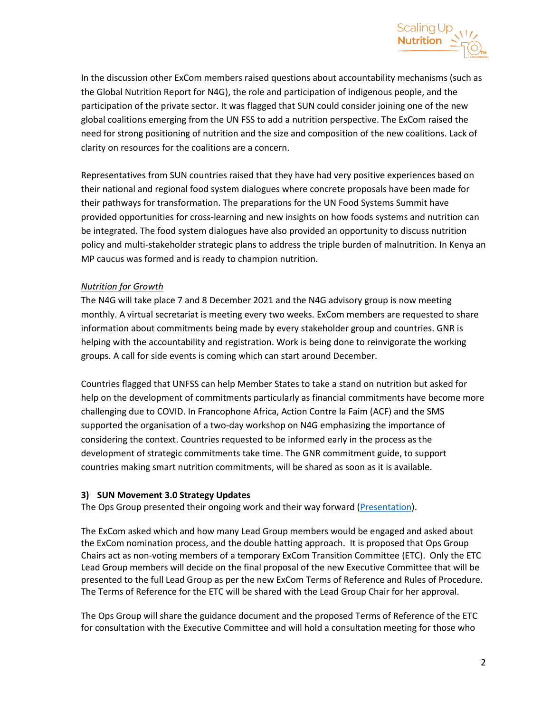

In the discussion other ExCom members raised questions about accountability mechanisms (such as the Global Nutrition Report for N4G), the role and participation of indigenous people, and the participation of the private sector. It was flagged that SUN could consider joining one of the new global coalitions emerging from the UN FSS to add a nutrition perspective. The ExCom raised the need for strong positioning of nutrition and the size and composition of the new coalitions. Lack of clarity on resources for the coalitions are a concern.

Representatives from SUN countries raised that they have had very positive experiences based on their national and regional food system dialogues where concrete proposals have been made for their pathways for transformation. The preparations for the UN Food Systems Summit have provided opportunities for cross-learning and new insights on how foods systems and nutrition can be integrated. The food system dialogues have also provided an opportunity to discuss nutrition policy and multi-stakeholder strategic plans to address the triple burden of malnutrition. In Kenya an MP caucus was formed and is ready to champion nutrition.

## *Nutrition for Growth*

The N4G will take place 7 and 8 December 2021 and the N4G advisory group is now meeting monthly. A virtual secretariat is meeting every two weeks. ExCom members are requested to share information about commitments being made by every stakeholder group and countries. GNR is helping with the accountability and registration. Work is being done to reinvigorate the working groups. A call for side events is coming which can start around December.

Countries flagged that UNFSS can help Member States to take a stand on nutrition but asked for help on the development of commitments particularly as financial commitments have become more challenging due to COVID. In Francophone Africa, Action Contre la Faim (ACF) and the SMS supported the organisation of a two-day workshop on N4G emphasizing the importance of considering the context. Countries requested to be informed early in the process as the development of strategic commitments take time. The GNR commitment guide, to support countries making smart nutrition commitments, will be shared as soon as it is available.

## **3) SUN Movement 3.0 Strategy Updates**

The Ops Group presented their ongoing work and their way forward [\(Presentation\)](https://scalingupnutrition.sharepoint.com/:b:/s/public55/EULyT0hgN15CjnhWDrYJnRkBeOp7VMgqPHGd5262Ip5IJg?e=TInj7x).

The ExCom asked which and how many Lead Group members would be engaged and asked about the ExCom nomination process, and the double hatting approach. It is proposed that Ops Group Chairs act as non-voting members of a temporary ExCom Transition Committee (ETC). Only the ETC Lead Group members will decide on the final proposal of the new Executive Committee that will be presented to the full Lead Group as per the new ExCom Terms of Reference and Rules of Procedure. The Terms of Reference for the ETC will be shared with the Lead Group Chair for her approval.

The Ops Group will share the guidance document and the proposed Terms of Reference of the ETC for consultation with the Executive Committee and will hold a consultation meeting for those who